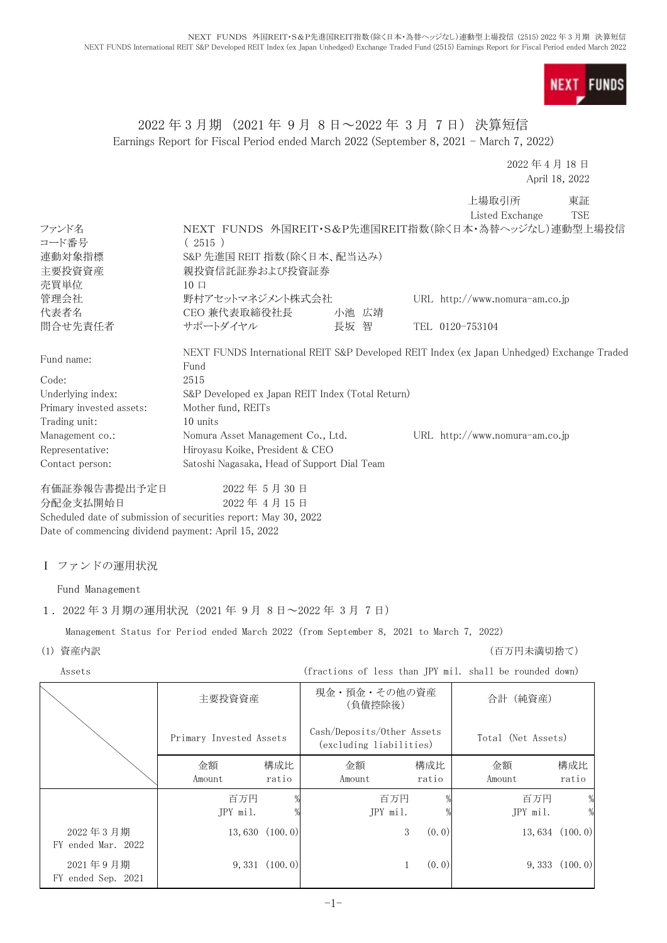**FUNDS NEXT** 

## 2022 年 3 月期 (2021 年 9 月 8 日~2022 年 3 月 7 日) 決算短信 Earnings Report for Fiscal Period ended March 2022 (September 8, 2021 - March 7, 2022)

2022 年 4 月 18 日 April 18, 2022

上場取引所 東証

|                          |                                                                                                    |       |  | Listed Exchange                  | <b>TSE</b> |  |
|--------------------------|----------------------------------------------------------------------------------------------------|-------|--|----------------------------------|------------|--|
| ファンド名                    | NEXT FUNDS 外国REIT・S&P先進国REIT指数(除く日本・為替ヘッジなし)連動型上場投信                                                |       |  |                                  |            |  |
| コード番号                    | (2515)                                                                                             |       |  |                                  |            |  |
| 連動対象指標                   | S&P 先進国 REIT 指数(除く日本、配当込み)                                                                         |       |  |                                  |            |  |
| 主要投資資産                   | 親投資信託証券および投資証券                                                                                     |       |  |                                  |            |  |
| 売買単位                     | $10 \Box$                                                                                          |       |  |                                  |            |  |
| 管理会社                     | 野村アセットマネジメント株式会社                                                                                   |       |  | URL http://www.nomura-am.co.jp   |            |  |
| 代表者名                     | CEO 兼代表取締役社長                                                                                       | 小池 広靖 |  |                                  |            |  |
| 間合せ先責任者                  | サポートダイヤル                                                                                           | 長坂 智  |  | TEL 0120-753104                  |            |  |
| Fund name:               | NEXT FUNDS International REIT S&P Developed REIT Index (ex Japan Unhedged) Exchange Traded<br>Fund |       |  |                                  |            |  |
| Code:                    | 2515                                                                                               |       |  |                                  |            |  |
| Underlying index:        | S&P Developed ex Japan REIT Index (Total Return)                                                   |       |  |                                  |            |  |
| Primary invested assets: | Mother fund, REITs                                                                                 |       |  |                                  |            |  |
| Trading unit:            | 10 units                                                                                           |       |  |                                  |            |  |
| Management co.:          | Nomura Asset Management Co., Ltd.                                                                  |       |  | URL $http://www.nomura-am.co.jp$ |            |  |
| Representative:          | Hiroyasu Koike, President & CEO                                                                    |       |  |                                  |            |  |
| Contact person:          | Satoshi Nagasaka, Head of Support Dial Team                                                        |       |  |                                  |            |  |
| 有価証券報告書提出予定日             | 2022年5月30日                                                                                         |       |  |                                  |            |  |

分配金支払開始日 2022 年 4 月 15 日 Scheduled date of submission of securities report: May 30, 2022 Date of commencing dividend payment: April 15, 2022

## Ⅰ ファンドの運用状況

Fund Management

## 1.2022 年 3 月期の運用状況(2021 年 9 月 8 日~2022 年 3 月 7 日)

Management Status for Period ended March 2022 (from September 8, 2021 to March 7, 2022)

(1) 資産内訳 (百万円未満切捨て)

Assets (fractions of less than JPY mil. shall be rounded down)

|                                | 主要投資資産                  |                     | 現金・預金・その他の資産<br>(負債控除後)                               |              | 合計 (純資産)           |                     |
|--------------------------------|-------------------------|---------------------|-------------------------------------------------------|--------------|--------------------|---------------------|
|                                | Primary Invested Assets |                     | Cash/Deposits/Other Assets<br>(excluding liabilities) |              | Total (Net Assets) |                     |
|                                | 金額<br>Amount            | 構成比<br>ratio        | 金額<br>Amount                                          | 構成比<br>ratio | 金額<br>Amount       | 構成比<br>ratio        |
|                                | 百万円<br>JPY mil.         |                     | 百万円<br>JPY mil.                                       |              | 百万円<br>JPY mil.    | %                   |
| 2022年3月期<br>FY ended Mar. 2022 |                         | $13,630$ $(100, 0)$ | 3                                                     | (0, 0)       |                    | $13,634$ $(100, 0)$ |
| 2021年9月期<br>FY ended Sep. 2021 |                         | $9,331$ $(100, 0)$  |                                                       | (0, 0)       |                    | 9,333(100.0)        |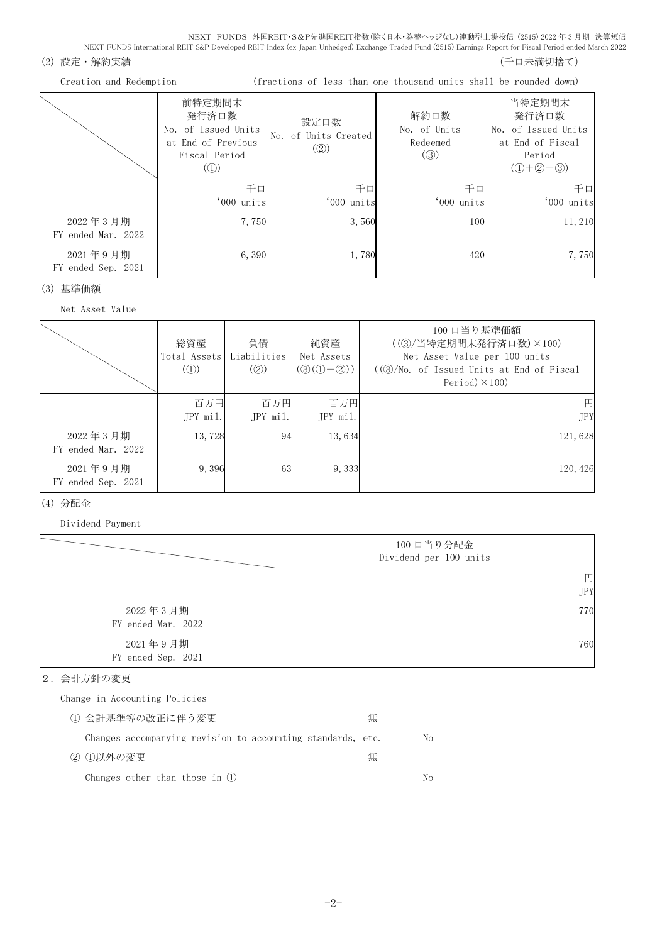#### (2) 設定・解約実績 (5) さんじょう しょうしょう しょうしょう しょうしょう しゅうしょく しゅうしょく (千口未満切捨て)

| Creation and Redemption        |                                                                                                              |                                                              | (fractions of less than one thousand units shall be rounded down) |                                                                                   |
|--------------------------------|--------------------------------------------------------------------------------------------------------------|--------------------------------------------------------------|-------------------------------------------------------------------|-----------------------------------------------------------------------------------|
|                                | 前特定期間末<br>発行済口数<br>No. of Issued Units<br>at End of Previous<br>Fiscal Period<br>$\left( \circled{1}\right)$ | 設定口数<br>No. of Units Created<br>$\left( \circled{2} \right)$ | 解約口数<br>No. of Units<br>Redeemed<br>$\left( \circledS \right)$    | 当特定期間末<br>発行済口数<br>No. of Issued Units<br>at End of Fiscal<br>Period<br>$(D+2-3)$ |
|                                | 千口<br>'000 units                                                                                             | 千口<br>'000 units                                             | 千口<br>'000 units                                                  | 千口<br>'000 units                                                                  |
| 2022年3月期<br>FY ended Mar. 2022 | 7,750                                                                                                        | 3,560                                                        | 100                                                               | 11,210                                                                            |
| 2021年9月期<br>FY ended Sep. 2021 | 6,390                                                                                                        | 1,780                                                        | 420                                                               | 7,750                                                                             |

## (3) 基準価額

Net Asset Value

| Net Asset value                |                                                  |                          |                                                             |                                                                                                                                        |
|--------------------------------|--------------------------------------------------|--------------------------|-------------------------------------------------------------|----------------------------------------------------------------------------------------------------------------------------------------|
|                                | 総資産<br>Total Assets<br>$\mathcal{L}(\mathbb{D})$ | 負債<br>Liabilities<br>(Q) | 純資産<br>Net Assets<br>$(\mathcal{D}(\mathbb{O}-\mathbb{Q}))$ | 100 口当り基準価額<br>((③/当特定期間末発行済口数)×100)<br>Net Asset Value per 100 units<br>$((3)/N0,$ of Issued Units at End of Fiscal<br>Period $(100)$ |
|                                | 百万円<br>JPY mil.                                  | 百万円<br>JPY mil.          | 百万円<br>JPY mil.                                             | 円<br>JPY                                                                                                                               |
| 2022年3月期<br>FY ended Mar. 2022 | 13,728                                           | 94                       | 13,634                                                      | 121,628                                                                                                                                |
| 2021年9月期<br>FY ended Sep. 2021 | 9,396                                            | 63                       | 9,333                                                       | 120, 426                                                                                                                               |

## (4) 分配金

Dividend Payment

|                                | 100 口当り分配金<br>Dividend per 100 units |
|--------------------------------|--------------------------------------|
|                                | 円<br><b>JPY</b>                      |
| 2022年3月期<br>FY ended Mar. 2022 | 770                                  |
| 2021年9月期<br>FY ended Sep. 2021 | 760                                  |

## 2.会計方針の変更

Change in Accounting Policies

| ① 会計基準等の改正に伴う変更                                             | 無 |    |
|-------------------------------------------------------------|---|----|
| Changes accompanying revision to accounting standards, etc. |   | No |
| ② ①以外の変更                                                    | 無 |    |
| Changes other than those in $(1)$                           |   | Nο |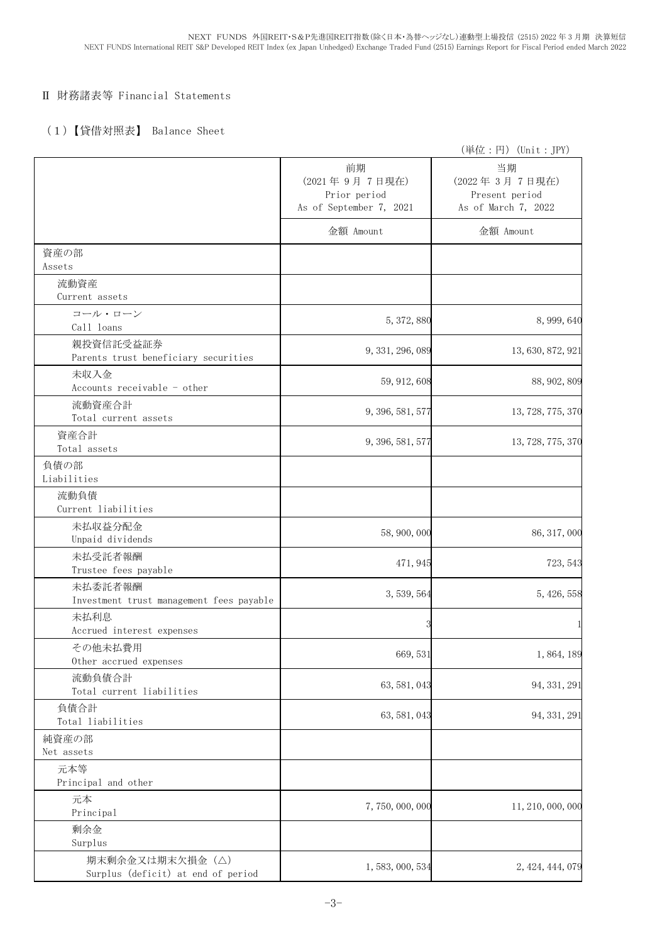## Ⅱ 財務諸表等 Financial Statements

## (1)【貸借対照表】 Balance Sheet

|                                                       |                                                                | (単位:円)(Unit:JPY)                                             |
|-------------------------------------------------------|----------------------------------------------------------------|--------------------------------------------------------------|
|                                                       | 前期<br>(2021年9月7日現在)<br>Prior period<br>As of September 7, 2021 | 当期<br>(2022年3月7日現在)<br>Present period<br>As of March 7, 2022 |
|                                                       | 金額 Amount                                                      | 金額 Amount                                                    |
| 資産の部<br>Assets                                        |                                                                |                                                              |
| 流動資産<br>Current assets                                |                                                                |                                                              |
| コール・ローン<br>Call loans                                 | 5, 372, 880                                                    | 8, 999, 640                                                  |
| 親投資信託受益証券<br>Parents trust beneficiary securities     | 9, 331, 296, 089                                               | 13, 630, 872, 921                                            |
| 未収入金<br>Accounts receivable - other                   | 59, 912, 608                                                   | 88, 902, 809                                                 |
| 流動資産合計<br>Total current assets                        | 9, 396, 581, 577                                               | 13, 728, 775, 370                                            |
| 資産合計<br>Total assets                                  | 9, 396, 581, 577                                               | 13, 728, 775, 370                                            |
| 負債の部<br>Liabilities                                   |                                                                |                                                              |
| 流動負債<br>Current liabilities                           |                                                                |                                                              |
| 未払収益分配金<br>Unpaid dividends                           | 58, 900, 000                                                   | 86, 317, 000                                                 |
| 未払受託者報酬<br>Trustee fees payable                       | 471, 945                                                       | 723, 543                                                     |
| 未払委託者報酬<br>Investment trust management fees payable   | 3, 539, 564                                                    | 5, 426, 558                                                  |
| 未払利息<br>Accrued interest expenses                     |                                                                |                                                              |
| その他未払費用<br>Other accrued expenses                     | 669, 531                                                       | 1,864,189                                                    |
| 流動負債合計<br>Total current liabilities                   | 63, 581, 043                                                   | 94, 331, 291                                                 |
| 負債合計<br>Total liabilities                             | 63, 581, 043                                                   | 94, 331, 291                                                 |
| 純資産の部<br>Net assets                                   |                                                                |                                                              |
| 元本等<br>Principal and other                            |                                                                |                                                              |
| 元本<br>Principal                                       | 7,750,000,000                                                  | 11, 210, 000, 000                                            |
| 剰余金<br>Surplus                                        |                                                                |                                                              |
| 期末剰余金又は期末欠損金(△)<br>Surplus (deficit) at end of period | 1, 583, 000, 534                                               | 2, 424, 444, 079                                             |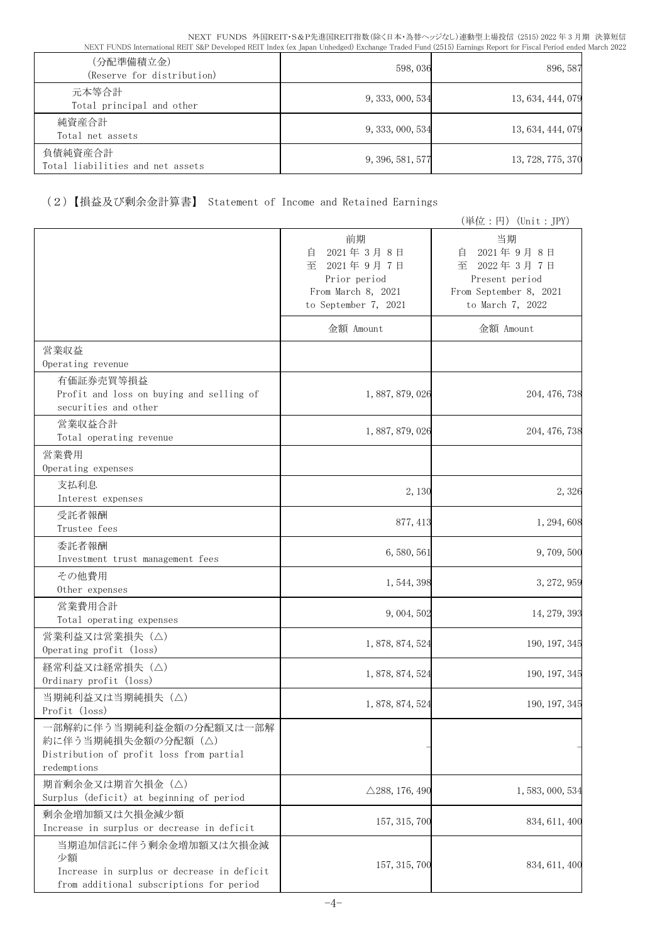| (分配準備積立金)<br>(Reserve for distribution)     | 598,036          | 896, 587          |
|---------------------------------------------|------------------|-------------------|
| 元本等合計<br>Total principal and other          | 9, 333, 000, 534 | 13, 634, 444, 079 |
| 純資産合計<br>Total net assets                   | 9, 333, 000, 534 | 13, 634, 444, 079 |
| 負債純資産合計<br>Total liabilities and net assets | 9, 396, 581, 577 | 13, 728, 775, 370 |

# (2)【損益及び剰余金計算書】 Statement of Income and Retained Earnings

|                                                                                                                       |                                                                                                      | (単位:円) (Unit:JPY)                                                                                      |
|-----------------------------------------------------------------------------------------------------------------------|------------------------------------------------------------------------------------------------------|--------------------------------------------------------------------------------------------------------|
|                                                                                                                       | 前期<br>2021年3月8日<br>自<br>至<br>2021年9月7日<br>Prior period<br>From March 8, 2021<br>to September 7, 2021 | 当期<br>2021年9月8日<br>自<br>至<br>2022年3月7日<br>Present period<br>From September 8, 2021<br>to March 7, 2022 |
|                                                                                                                       | 金額 Amount                                                                                            | 金額 Amount                                                                                              |
| 営業収益<br>Operating revenue                                                                                             |                                                                                                      |                                                                                                        |
| 有価証券売買等損益<br>Profit and loss on buying and selling of<br>securities and other                                         | 1, 887, 879, 026                                                                                     | 204, 476, 738                                                                                          |
| 営業収益合計<br>Total operating revenue                                                                                     | 1, 887, 879, 026                                                                                     | 204, 476, 738                                                                                          |
| 営業費用<br>Operating expenses                                                                                            |                                                                                                      |                                                                                                        |
| 支払利息<br>Interest expenses                                                                                             | 2,130                                                                                                | 2,326                                                                                                  |
| 受託者報酬<br>Trustee fees                                                                                                 | 877, 413                                                                                             | 1, 294, 608                                                                                            |
| 委託者報酬<br>Investment trust management fees                                                                             | 6, 580, 561                                                                                          | 9,709,500                                                                                              |
| その他費用<br>Other expenses                                                                                               | 1, 544, 398                                                                                          | 3, 272, 959                                                                                            |
| 営業費用合計<br>Total operating expenses                                                                                    | 9, 004, 502                                                                                          | 14, 279, 393                                                                                           |
| 営業利益又は営業損失(△)<br>Operating profit (loss)                                                                              | 1, 878, 874, 524                                                                                     | 190, 197, 345                                                                                          |
| 経常利益又は経常損失 (△)<br>Ordinary profit (loss)                                                                              | 1, 878, 874, 524                                                                                     | 190, 197, 345                                                                                          |
| 当期純利益又は当期純損失 (△)<br>Profit (loss)                                                                                     | 1, 878, 874, 524                                                                                     | 190, 197, 345                                                                                          |
| 一部解約に伴う当期純利益金額の分配額又は一部解<br>約に伴う当期純損失金額の分配額 (△)<br>Distribution of profit loss from partial<br>redemptions             |                                                                                                      |                                                                                                        |
| 期首剰余金又は期首欠損金(△)<br>Surplus (deficit) at beginning of period                                                           | $\triangle$ 288, 176, 490                                                                            | 1, 583, 000, 534                                                                                       |
| 剰余金増加額又は欠損金減少額<br>Increase in surplus or decrease in deficit                                                          | 157, 315, 700                                                                                        | 834, 611, 400                                                                                          |
| 当期追加信託に伴う剰余金増加額又は欠損金減<br>少額<br>Increase in surplus or decrease in deficit<br>from additional subscriptions for period | 157, 315, 700                                                                                        | 834, 611, 400                                                                                          |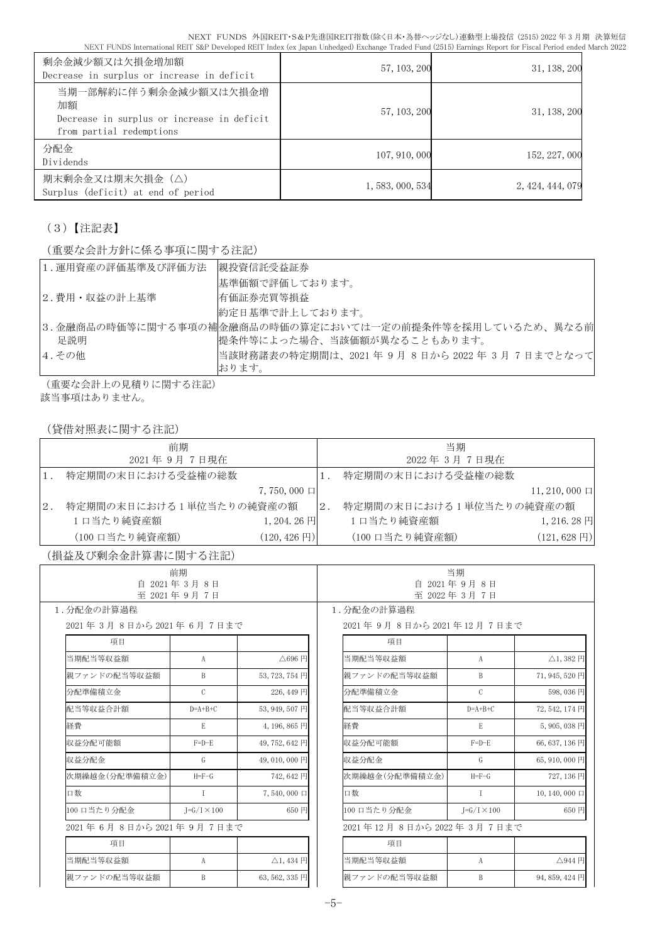| 剰余金減少額又は欠損金増加額<br>Decrease in surplus or increase in deficit                                          | 57, 103, 200     | 31, 138, 200     |
|-------------------------------------------------------------------------------------------------------|------------------|------------------|
| 当期一部解約に伴う剰余金減少額又は欠損金増<br>加額<br>Decrease in surplus or increase in deficit<br>from partial redemptions | 57, 103, 200     | 31, 138, 200     |
| 分配金<br>Dividends                                                                                      | 107, 910, 000    | 152, 227, 000    |
| 期末剰余金又は期末欠損金(△)<br>Surplus (deficit) at end of period                                                 | 1, 583, 000, 534 | 2, 424, 444, 079 |

(3)【注記表】

(重要な会計方針に係る事項に関する注記)

| 1.運用資産の評価基準及び評価方法 | 親投資信託受益証券                                               |
|-------------------|---------------------------------------------------------|
|                   | 基準価額で評価しております。                                          |
| 2.費用・収益の計上基準      | 有価証券売買等損益                                               |
|                   | 約定日基準で計上しております。                                         |
|                   | 3.金融商品の時価等に関する事項の補金融商品の時価の算定においては一定の前提条件等を採用しているため、異なる前 |
| 足説明               | 提条件等によった場合、当該価額が異なることもあります。                             |
| 4. その他            | 当該財務諸表の特定期間は、2021 年 9 月 8 日から 2022 年 3 月 7 日までとなって      |
|                   | おります。                                                   |

(重要な会計上の見積りに関する注記) 該当事項はありません。

(貸借対照表に関する注記)

|       | 前期                      |                          |    | 当期                      |                         |
|-------|-------------------------|--------------------------|----|-------------------------|-------------------------|
|       | 2021年9月7日現在             |                          |    | 2022年3月7日現在             |                         |
|       | 特定期間の末日における受益権の総数       |                          |    | 特定期間の末日における受益権の総数       |                         |
|       |                         | $7,750,000$ $\Box$       |    |                         | $11, 210, 000$ $\Box$   |
| $2$ . | 特定期間の末日における1単位当たりの純資産の額 |                          | 2. | 特定期間の末日における1単位当たりの純資産の額 |                         |
|       | 1口当たり純資産額               | $1,204,26 \text{ H}$     |    | 1口当たり純資産額               | $1,216.28$ 円            |
|       | (100 口当たり純資産額)          | $(120, 426 \,\boxtimes)$ |    | (100 口当たり純資産額)          | $(121, 628 \,\boxplus)$ |

(損益及び剰余金計算書に関する注記)

| 前期<br>自 2021年3月8日      |                      |                           | 当期<br>自 2021年9月8日       |                      |                     |
|------------------------|----------------------|---------------------------|-------------------------|----------------------|---------------------|
| 至 2021年9月7日            |                      | 至 2022年3月7日               |                         |                      |                     |
| 1.分配金の計算過程             |                      |                           | 1. 分配金の計算過程             |                      |                     |
| 2021年3月8日から2021年6月7日まで |                      |                           | 2021年9月8日から2021年12月7日まで |                      |                     |
| 項目                     |                      |                           | 項目                      |                      |                     |
| 当期配当等収益額               | A                    | △696円                     | 当期配当等収益額                | A                    | △1,382円             |
| 親ファンドの配当等収益額           | B                    | 53, 723, 754 円            | 親ファンドの配当等収益額            | B                    | 71,945,520円         |
| 分配準備積立金                | $\mathcal{C}$        | 226,449円                  | 分配準備積立金                 | $\mathcal{C}$        | 598,036円            |
| 配当等収益合計額               | $D=A+B+C$            | 53, 949, 507 円            | 配当等収益合計額                | $D=A+B+C$            | 72,542,174円         |
| 経費                     | E                    | 4,196,865円                | 経費                      | E                    | 5,905,038円          |
| 収益分配可能額                | $F=D-E$              | 49,752,642円               | 収益分配可能額                 | $F=D-E$              | 66, 637, 136 円      |
| 収益分配金                  | G                    | 49,010,000 円              | 収益分配金                   | G                    | 65,910,000円         |
| 次期繰越金(分配準備積立金)         | $H = F - G$          | 742,642円                  | 次期繰越金(分配準備積立金)          | $H = F - G$          | 727,136円            |
| 口数                     | $\mathsf{T}$         | 7,540,000 口               | 口数                      | $\mathsf{L}$         | 10, 140, 000 $\Box$ |
| 100 口当たり分配金            | $I = G/I \times 100$ | 650 円                     | 100 口当たり分配金             | $I = G/I \times 100$ | 650円                |
| 2021年6月8日から2021年9月7日まで |                      |                           | 2021年12月8日から2022年3月7日まで |                      |                     |
| 項目                     |                      |                           | 項目                      |                      |                     |
| 当期配当等収益額               | A                    | $\triangle$ 1, 434 $\Box$ | 当期配当等収益額                | A                    | △944円               |
| 親ファンドの配当等収益額           | B                    | 63, 562, 335 円            | 親ファンドの配当等収益額            | B                    | 94, 859, 424 円      |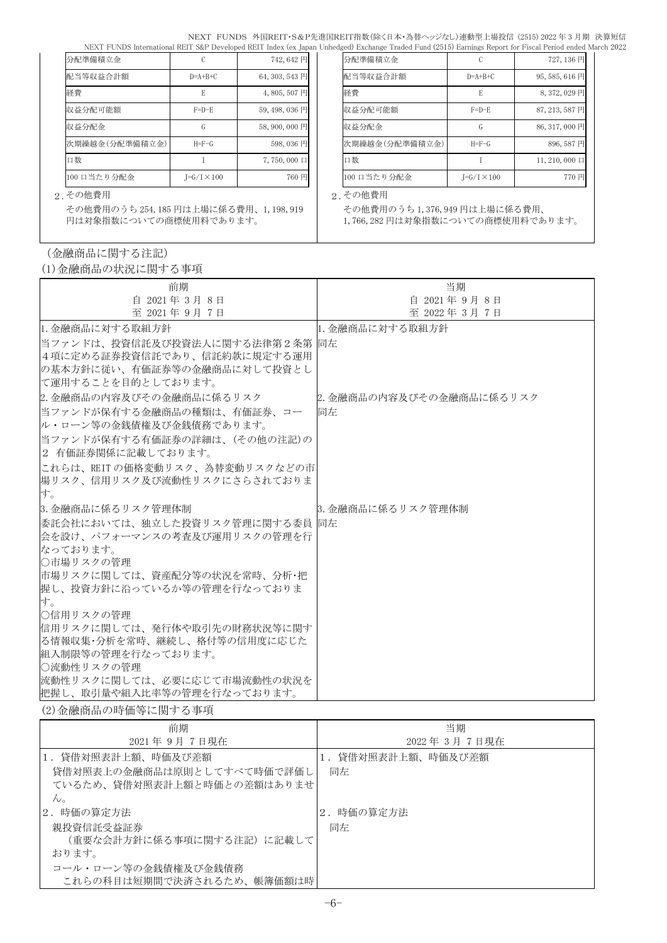NEXT FUNDS 外国REIT・S&P先進国REIT指数(除く日本・為替ヘッジなし)連動型上場投信 (2515) 2022 年 3 月期 決算短信 NEXT FUNDS International REIT S&P Developed REIT Index (ex Japan Unhedged) Exchange Traded Fund (2515) Earnings Report for Fiscal Period ended March 2022

| 分配準備積立金        |                    | 742,642円       |  | 分配準備積立金        |                      | 727,136円               |
|----------------|--------------------|----------------|--|----------------|----------------------|------------------------|
| 配当等収益合計額       | $D = A + B + C$    | 64, 303, 543 円 |  | 配当等収益合計額       | $D=A+B+C$            | 95,585,616円            |
| 経費             | E                  | 4,805,507円     |  | 経費             |                      | 8,372,029円             |
| 収益分配可能額        | $F=D-E$            | 59, 498, 036 円 |  | 収益分配可能額        | $F=D-E$              | 87, 213, 587 円         |
| 収益分配金          | G                  | 58,900,000円    |  | 収益分配金          | G                    | 86, 317, 000 円         |
| 次期繰越金(分配準備積立金) | $H = F - G$        | 598,036円       |  | 次期繰越金(分配準備積立金) | $H = F - G$          | 896,587円               |
| 口数             |                    | 7,750,000 口    |  | 口数             |                      | $11, 210, 000 \square$ |
| 100 口当たり分配金    | $J=G/I \times 100$ | 760 円          |  | 100 口当たり分配金    | $J = G/I \times 100$ | 770円                   |

| 分配準備積立金        |                      | 727, 136 円             |
|----------------|----------------------|------------------------|
| 配当等収益合計額       | $D=A+B+C$            | 95, 585, 616 円         |
| 経費             | E                    | 8,372,029 円            |
| 収益分配可能額        | $F=D-E$              | 87, 213, 587 円         |
| 収益分配金          | G                    | 86, 317, 000 円         |
| 次期繰越金(分配準備積立金) | $H = F - G$          | 896,587円               |
| 口数             |                      | $11, 210, 000 \square$ |
| 100 口当たり分配金    | $I = G/I \times 100$ | 770円                   |

その他費用のうち 1,376,949 円は上場に係る費用、 1,766,282 円は対象指数についての商標使用料であります。

#### 2.その他費用 2.その他費用

その他費用のうち 254,185 円は上場に係る費用、1,198,919 円は対象指数についての商標使用料であります。

## (金融商品に関する注記)

(1)金融商品の状況に関する事項

| 前期                                                          | 当期                       |
|-------------------------------------------------------------|--------------------------|
| 自 2021年3月8日                                                 | 自 2021年9月8日              |
| 至 2021年9月7日                                                 | 至 2022年3月7日              |
| 1. 金融商品に対する取組方針                                             | 1. 金融商品に対する取組方針          |
| 当ファンドは、投資信託及び投資法人に関する法律第2条第  同左                             |                          |
| 4項に定める証券投資信託であり、信託約款に規定する運用                                 |                          |
| の基本方針に従い、有価証券等の金融商品に対して投資とし                                 |                          |
| に運用することを目的としております。                                          |                          |
| 2. 金融商品の内容及びその金融商品に係るリスク                                    | 2. 金融商品の内容及びその金融商品に係るリスク |
| 当ファンドが保有する金融商品の種類は、有価証券、コー                                  | 同左                       |
| ル・ローン等の金銭債権及び金銭債務であります。                                     |                          |
| 当ファンドが保有する有価証券の詳細は、(その他の注記)の                                |                          |
| 2 有価証券関係に記載しております。                                          |                          |
| これらは、REIT の価格変動リスク、為替変動リスクなどの市                              |                          |
| 場リスク、信用リスク及び流動性リスクにさらされておりま                                 |                          |
| す。                                                          |                          |
| 3.金融商品に係るリスク管理体制                                            | 3. 金融商品に係るリスク管理体制        |
| 委託会社においては、独立した投資リスク管理に関する委員  同左                             |                          |
| 会を設け、パフォーマンスの考査及び運用リスクの管理を行                                 |                          |
| なっております。                                                    |                          |
| ○市場リスクの管理                                                   |                          |
| 市場リスクに関しては、資産配分等の状況を常時、分析・把 <br> 握し、投資方針に沿っているか等の管理を行なっておりま |                          |
| す。                                                          |                          |
| ○信用リスクの管理                                                   |                          |
| 信用リスクに関しては、発行体や取引先の財務状況等に関す                                 |                          |
| る情報収集・分析を常時、継続し、格付等の信用度に応じた                                 |                          |
| 組入制限等の管理を行なっております。                                          |                          |
| ○流動性リスクの管理                                                  |                          |
| 流動性リスクに関しては、必要に応じて市場流動性の状況を                                 |                          |
| 把握し、取引量や組入比率等の管理を行なっております。                                  |                          |

(2)金融商品の時価等に関する事項

| 前期                         | 当期              |
|----------------------------|-----------------|
| 2021年9月7日現在                | 2022年3月7日現在     |
| 1. 貸借対照表計上額、時価及び差額         | 貸借対照表計上額、時価及び差額 |
| 貸借対照表上の金融商品は原則としてすべて時価で評価し | 同左              |
| ているため、貸借対照表計上額と時価との差額はありませ |                 |
| $\mathcal{W}_{\alpha}$     |                 |
| 2. 時価の算定方法                 | 2. 時価の算定方法      |
| 親投資信託受益証券                  | 同左              |
| (重要な会計方針に係る事項に関する注記)に記載して  |                 |
| おります。                      |                 |
| コール・ローン等の金銭債権及び金銭債務        |                 |
| これらの科目は短期間で決済されるため、帳簿価額は時  |                 |